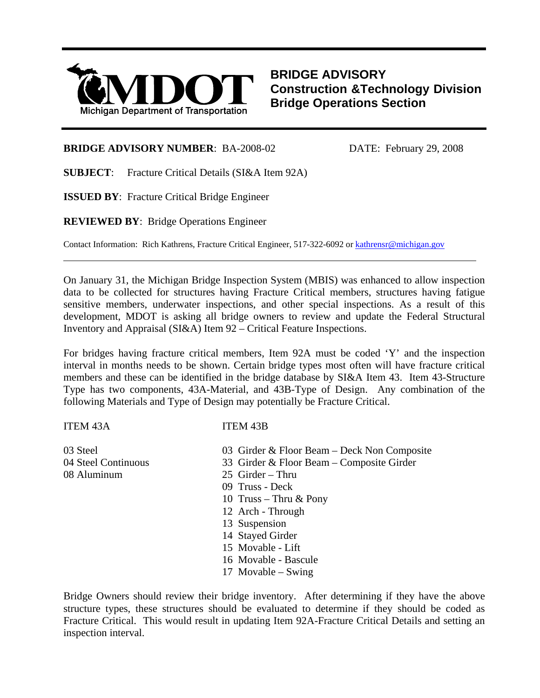

**BRIDGE ADVISORY Construction &Technology Division Bridge Operations Section**

## **BRIDGE ADVISORY NUMBER:** BA-2008-02 DATE: February 29, 2008

**SUBJECT**: Fracture Critical Details (SI&A Item 92A)

**ISSUED BY**: Fracture Critical Bridge Engineer

**REVIEWED BY**: Bridge Operations Engineer

Contact Information: Rich Kathrens, Fracture Critical Engineer, 517-322-6092 or [kathrensr@michigan.gov](mailto:kathrensr@michigan.gov)

On January 31, the Michigan Bridge Inspection System (MBIS) was enhanced to allow inspection data to be collected for structures having Fracture Critical members, structures having fatigue sensitive members, underwater inspections, and other special inspections. As a result of this development, MDOT is asking all bridge owners to review and update the Federal Structural Inventory and Appraisal (SI&A) Item 92 – Critical Feature Inspections.

 $\overline{a}$ 

For bridges having fracture critical members, Item 92A must be coded 'Y' and the inspection interval in months needs to be shown. Certain bridge types most often will have fracture critical members and these can be identified in the bridge database by SI&A Item 43. Item 43-Structure Type has two components, 43A-Material, and 43B-Type of Design. Any combination of the following Materials and Type of Design may potentially be Fracture Critical.

## ITEM 43A ITEM 43B

| 03 Steel            | 03 Girder & Floor Beam – Deck Non Composite |
|---------------------|---------------------------------------------|
| 04 Steel Continuous | 33 Girder & Floor Beam – Composite Girder   |
| 08 Aluminum         | $25$ Girder – Thru                          |
|                     | 09 Truss - Deck                             |
|                     | 10 Truss – Thru $&$ Pony                    |
|                     | 12 Arch - Through                           |
|                     | 13 Suspension                               |
|                     | 14 Stayed Girder                            |
|                     | 15 Movable - Lift                           |
|                     | 16 Movable - Bascule                        |
|                     | 17 Movable $-$ Swing                        |
|                     |                                             |

Bridge Owners should review their bridge inventory. After determining if they have the above structure types, these structures should be evaluated to determine if they should be coded as Fracture Critical. This would result in updating Item 92A-Fracture Critical Details and setting an inspection interval.